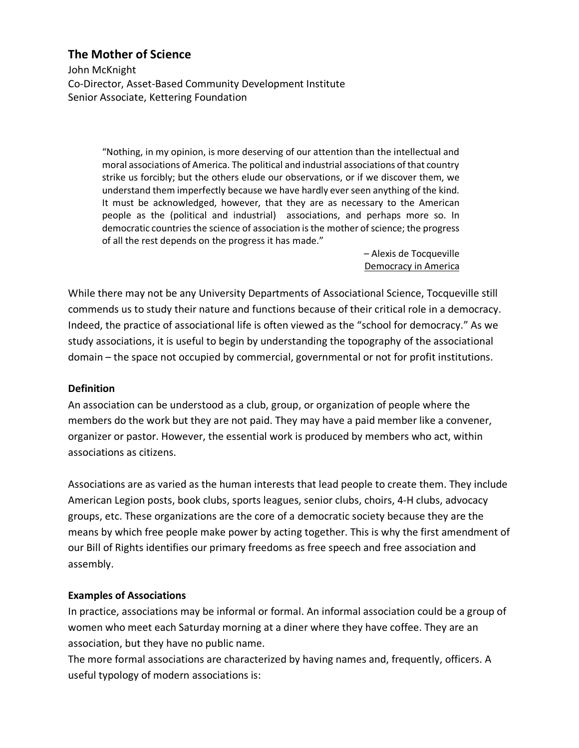# **The Mother of Science**

John McKnight Co-Director, Asset-Based Community Development Institute Senior Associate, Kettering Foundation

> "Nothing, in my opinion, is more deserving of our attention than the intellectual and moral associations of America. The political and industrial associations of that country strike us forcibly; but the others elude our observations, or if we discover them, we understand them imperfectly because we have hardly ever seen anything of the kind. It must be acknowledged, however, that they are as necessary to the American people as the (political and industrial) associations, and perhaps more so. In democratic countries the science of association is the mother of science; the progress of all the rest depends on the progress it has made."

> > – Alexis de Tocqueville Democracy in America

While there may not be any University Departments of Associational Science, Tocqueville still commends us to study their nature and functions because of their critical role in a democracy. Indeed, the practice of associational life is often viewed as the "school for democracy." As we study associations, it is useful to begin by understanding the topography of the associational domain – the space not occupied by commercial, governmental or not for profit institutions.

### **Definition**

An association can be understood as a club, group, or organization of people where the members do the work but they are not paid. They may have a paid member like a convener, organizer or pastor. However, the essential work is produced by members who act, within associations as citizens.

Associations are as varied as the human interests that lead people to create them. They include American Legion posts, book clubs, sports leagues, senior clubs, choirs, 4-H clubs, advocacy groups, etc. These organizations are the core of a democratic society because they are the means by which free people make power by acting together. This is why the first amendment of our Bill of Rights identifies our primary freedoms as free speech and free association and assembly.

### **Examples of Associations**

In practice, associations may be informal or formal. An informal association could be a group of women who meet each Saturday morning at a diner where they have coffee. They are an association, but they have no public name.

The more formal associations are characterized by having names and, frequently, officers. A useful typology of modern associations is: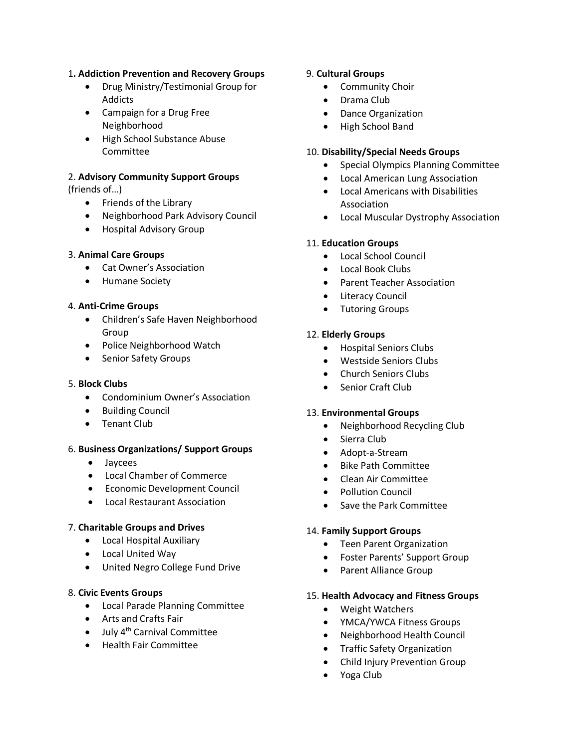#### 1**. Addiction Prevention and Recovery Groups**

- Drug Ministry/Testimonial Group for Addicts
- Campaign for a Drug Free Neighborhood
- High School Substance Abuse Committee

# 2. **Advisory Community Support Groups**

(friends of…)

- Friends of the Library
- Neighborhood Park Advisory Council
- Hospital Advisory Group

#### 3. **Animal Care Groups**

- Cat Owner's Association
- Humane Society

#### 4. **Anti-Crime Groups**

- Children's Safe Haven Neighborhood Group
- Police Neighborhood Watch
- Senior Safety Groups

#### 5. **Block Clubs**

- Condominium Owner's Association
- Building Council
- Tenant Club

#### 6. **Business Organizations/ Support Groups**

- Jaycees
- Local Chamber of Commerce
- Economic Development Council
- Local Restaurant Association

#### 7. **Charitable Groups and Drives**

- Local Hospital Auxiliary
- Local United Way
- United Negro College Fund Drive

#### 8. **Civic Events Groups**

- Local Parade Planning Committee
- Arts and Crafts Fair
- $\bullet$  July 4<sup>th</sup> Carnival Committee
- Health Fair Committee

#### 9. **Cultural Groups**

- Community Choir
- Drama Club
- Dance Organization
- High School Band

#### 10. **Disability/Special Needs Groups**

- Special Olympics Planning Committee
- Local American Lung Association
- Local Americans with Disabilities Association
- Local Muscular Dystrophy Association

#### 11. **Education Groups**

- Local School Council
- Local Book Clubs
- Parent Teacher Association
- Literacy Council
- Tutoring Groups

#### 12. **Elderly Groups**

- Hospital Seniors Clubs
- Westside Seniors Clubs
- Church Seniors Clubs
- Senior Craft Club

#### 13. **Environmental Groups**

- Neighborhood Recycling Club
- Sierra Club
- Adopt-a-Stream
- Bike Path Committee
- Clean Air Committee
- Pollution Council
- Save the Park Committee

#### 14. **Family Support Groups**

- Teen Parent Organization
- Foster Parents' Support Group
- Parent Alliance Group

#### 15. **Health Advocacy and Fitness Groups**

- Weight Watchers
- YMCA/YWCA Fitness Groups
- Neighborhood Health Council
- Traffic Safety Organization
- Child Injury Prevention Group
- Yoga Club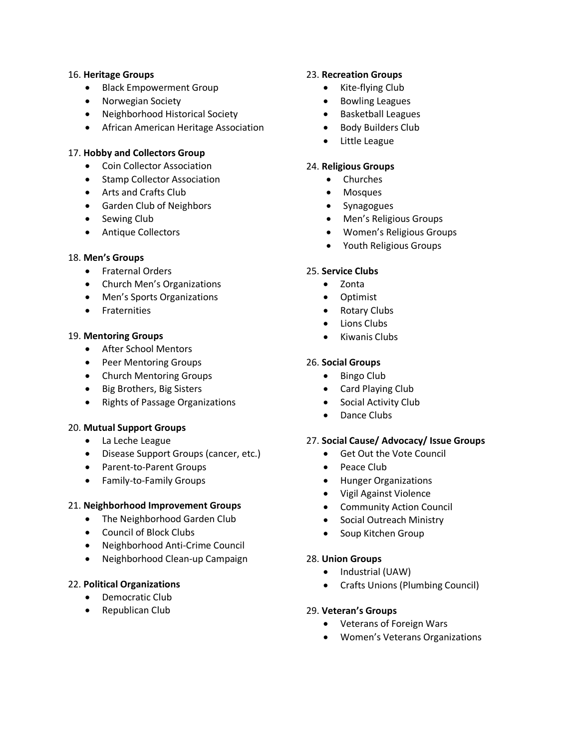#### 16. **Heritage Groups**

- Black Empowerment Group
- Norwegian Society
- Neighborhood Historical Society
- African American Heritage Association

#### 17. **Hobby and Collectors Group**

- Coin Collector Association
- Stamp Collector Association
- Arts and Crafts Club
- Garden Club of Neighbors
- Sewing Club
- Antique Collectors

#### 18. **Men's Groups**

- Fraternal Orders
- Church Men's Organizations
- Men's Sports Organizations
- Fraternities

#### 19. **Mentoring Groups**

- After School Mentors
- Peer Mentoring Groups
- Church Mentoring Groups
- Big Brothers, Big Sisters
- Rights of Passage Organizations

#### 20. **Mutual Support Groups**

- La Leche League
- Disease Support Groups (cancer, etc.)
- Parent-to-Parent Groups
- Family-to-Family Groups

#### 21. **Neighborhood Improvement Groups**

- The Neighborhood Garden Club
- Council of Block Clubs
- Neighborhood Anti-Crime Council
- Neighborhood Clean-up Campaign

#### 22. **Political Organizations**

- Democratic Club
- Republican Club

#### 23. **Recreation Groups**

- Kite-flying Club
- Bowling Leagues
- Basketball Leagues
- Body Builders Club
- Little League

#### 24. **Religious Groups**

- Churches
- Mosques
- Synagogues
- Men's Religious Groups
- Women's Religious Groups
- Youth Religious Groups

#### 25. **Service Clubs**

- Zonta
- Optimist
- Rotary Clubs
- Lions Clubs
- Kiwanis Clubs

#### 26. **Social Groups**

- Bingo Club
- Card Playing Club
- Social Activity Club
- Dance Clubs

#### 27. **Social Cause/ Advocacy/ Issue Groups**

- Get Out the Vote Council
- Peace Club
- Hunger Organizations
- Vigil Against Violence
- Community Action Council
- Social Outreach Ministry
- Soup Kitchen Group

#### 28. **Union Groups**

- Industrial (UAW)
- Crafts Unions (Plumbing Council)

#### 29. **Veteran's Groups**

- Veterans of Foreign Wars
- Women's Veterans Organizations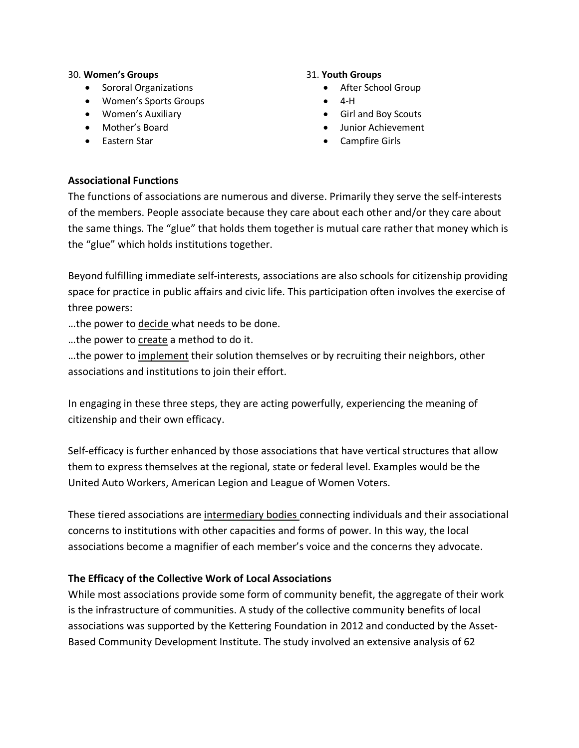#### 30. **Women's Groups**

- Sororal Organizations
- Women's Sports Groups
- Women's Auxiliary
- Mother's Board
- Eastern Star

### 31. **Youth Groups**

- After School Group
- $\bullet$  4-H
- Girl and Boy Scouts
- Junior Achievement
- Campfire Girls

# **Associational Functions**

The functions of associations are numerous and diverse. Primarily they serve the self-interests of the members. People associate because they care about each other and/or they care about the same things. The "glue" that holds them together is mutual care rather that money which is the "glue" which holds institutions together.

Beyond fulfilling immediate self-interests, associations are also schools for citizenship providing space for practice in public affairs and civic life. This participation often involves the exercise of three powers:

…the power to decide what needs to be done.

…the power to create a method to do it.

…the power to implement their solution themselves or by recruiting their neighbors, other associations and institutions to join their effort.

In engaging in these three steps, they are acting powerfully, experiencing the meaning of citizenship and their own efficacy.

Self-efficacy is further enhanced by those associations that have vertical structures that allow them to express themselves at the regional, state or federal level. Examples would be the United Auto Workers, American Legion and League of Women Voters.

These tiered associations are intermediary bodies connecting individuals and their associational concerns to institutions with other capacities and forms of power. In this way, the local associations become a magnifier of each member's voice and the concerns they advocate.

# **The Efficacy of the Collective Work of Local Associations**

While most associations provide some form of community benefit, the aggregate of their work is the infrastructure of communities. A study of the collective community benefits of local associations was supported by the Kettering Foundation in 2012 and conducted by the Asset-Based Community Development Institute. The study involved an extensive analysis of 62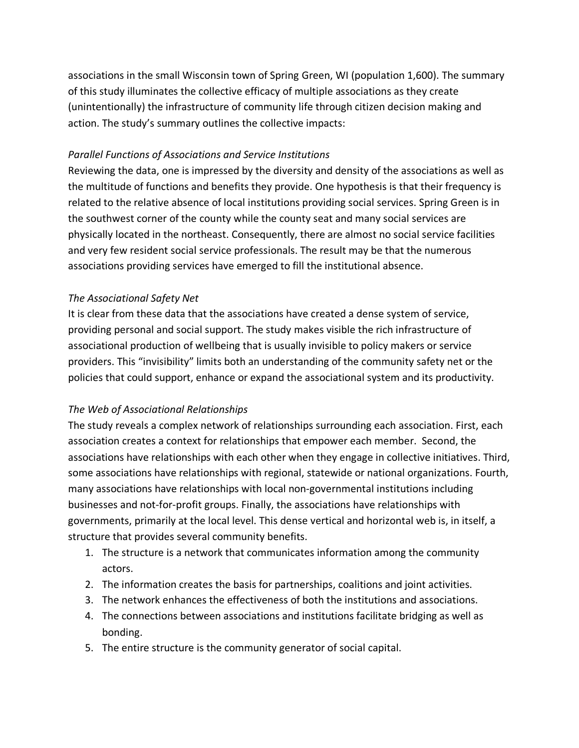associations in the small Wisconsin town of Spring Green, WI (population 1,600). The summary of this study illuminates the collective efficacy of multiple associations as they create (unintentionally) the infrastructure of community life through citizen decision making and action. The study's summary outlines the collective impacts:

### *Parallel Functions of Associations and Service Institutions*

Reviewing the data, one is impressed by the diversity and density of the associations as well as the multitude of functions and benefits they provide. One hypothesis is that their frequency is related to the relative absence of local institutions providing social services. Spring Green is in the southwest corner of the county while the county seat and many social services are physically located in the northeast. Consequently, there are almost no social service facilities and very few resident social service professionals. The result may be that the numerous associations providing services have emerged to fill the institutional absence.

# *The Associational Safety Net*

It is clear from these data that the associations have created a dense system of service, providing personal and social support. The study makes visible the rich infrastructure of associational production of wellbeing that is usually invisible to policy makers or service providers. This "invisibility" limits both an understanding of the community safety net or the policies that could support, enhance or expand the associational system and its productivity.

# *The Web of Associational Relationships*

The study reveals a complex network of relationships surrounding each association. First, each association creates a context for relationships that empower each member. Second, the associations have relationships with each other when they engage in collective initiatives. Third, some associations have relationships with regional, statewide or national organizations. Fourth, many associations have relationships with local non-governmental institutions including businesses and not-for-profit groups. Finally, the associations have relationships with governments, primarily at the local level. This dense vertical and horizontal web is, in itself, a structure that provides several community benefits.

- 1. The structure is a network that communicates information among the community actors.
- 2. The information creates the basis for partnerships, coalitions and joint activities.
- 3. The network enhances the effectiveness of both the institutions and associations.
- 4. The connections between associations and institutions facilitate bridging as well as bonding.
- 5. The entire structure is the community generator of social capital.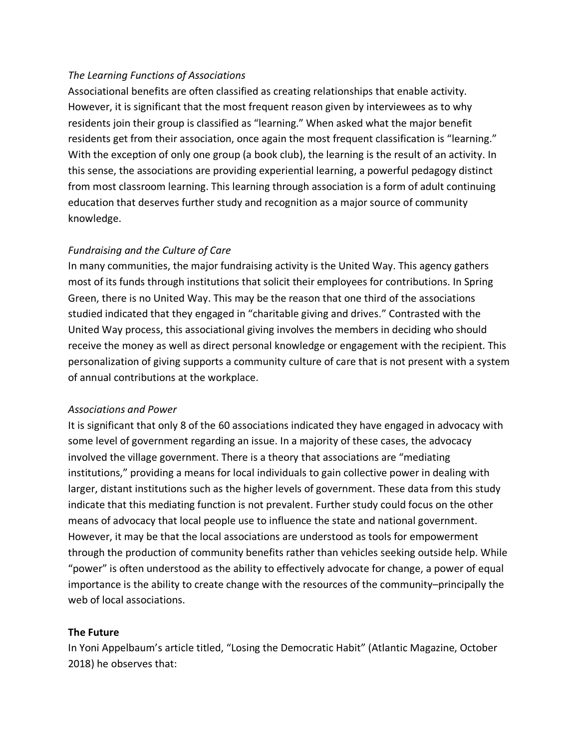# *The Learning Functions of Associations*

Associational benefits are often classified as creating relationships that enable activity. However, it is significant that the most frequent reason given by interviewees as to why residents join their group is classified as "learning." When asked what the major benefit residents get from their association, once again the most frequent classification is "learning." With the exception of only one group (a book club), the learning is the result of an activity. In this sense, the associations are providing experiential learning, a powerful pedagogy distinct from most classroom learning. This learning through association is a form of adult continuing education that deserves further study and recognition as a major source of community knowledge.

# *Fundraising and the Culture of Care*

In many communities, the major fundraising activity is the United Way. This agency gathers most of its funds through institutions that solicit their employees for contributions. In Spring Green, there is no United Way. This may be the reason that one third of the associations studied indicated that they engaged in "charitable giving and drives." Contrasted with the United Way process, this associational giving involves the members in deciding who should receive the money as well as direct personal knowledge or engagement with the recipient. This personalization of giving supports a community culture of care that is not present with a system of annual contributions at the workplace.

### *Associations and Power*

It is significant that only 8 of the 60 associations indicated they have engaged in advocacy with some level of government regarding an issue. In a majority of these cases, the advocacy involved the village government. There is a theory that associations are "mediating institutions," providing a means for local individuals to gain collective power in dealing with larger, distant institutions such as the higher levels of government. These data from this study indicate that this mediating function is not prevalent. Further study could focus on the other means of advocacy that local people use to influence the state and national government. However, it may be that the local associations are understood as tools for empowerment through the production of community benefits rather than vehicles seeking outside help. While "power" is often understood as the ability to effectively advocate for change, a power of equal importance is the ability to create change with the resources of the community–principally the web of local associations.

### **The Future**

In Yoni Appelbaum's article titled, "Losing the Democratic Habit" (Atlantic Magazine, October 2018) he observes that: